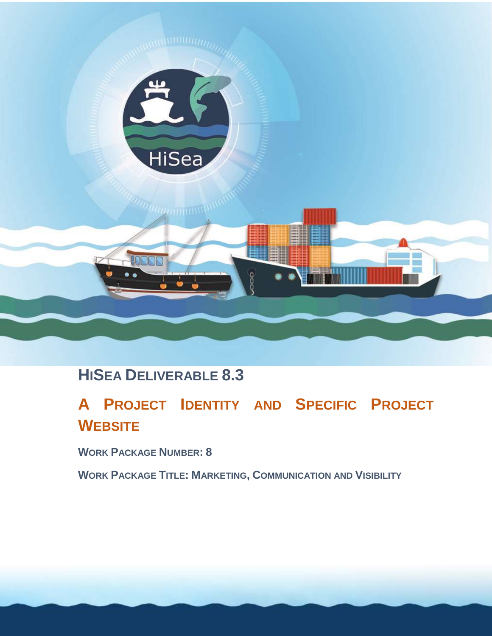

# **HISEA DELIVERABLE 8.3**

# **A PROJECT IDENTITY AND SPECIFIC PROJECT WEBSITE**

**WORK PACKAGE NUMBER: 8**

**WORK PACKAGE TITLE: MARKETING, COMMUNICATION AND VISIBILITY**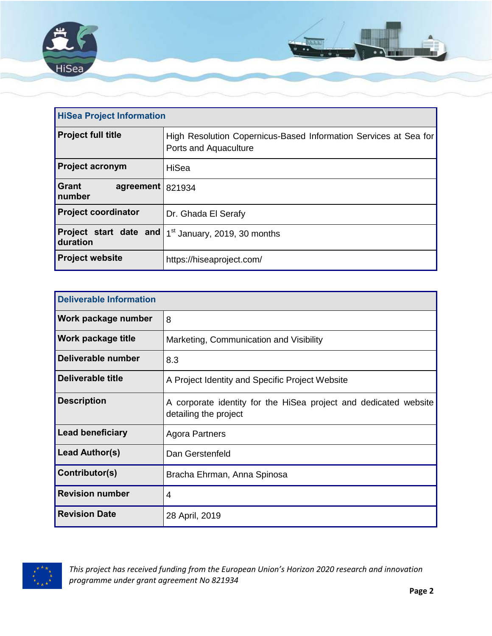

| <b>HiSea Project Information</b>          |                                                                                           |  |
|-------------------------------------------|-------------------------------------------------------------------------------------------|--|
| <b>Project full title</b>                 | High Resolution Copernicus-Based Information Services at Sea for<br>Ports and Aquaculture |  |
| <b>Project acronym</b>                    | HiSea                                                                                     |  |
| <b>Grant</b><br>agreement<br>number       | 821934                                                                                    |  |
| <b>Project coordinator</b>                | Dr. Ghada El Serafy                                                                       |  |
| <b>Project start date and</b><br>duration | 1 <sup>st</sup> January, 2019, 30 months                                                  |  |
| <b>Project website</b>                    | https://hiseaproject.com/                                                                 |  |

| <b>Deliverable Information</b> |                                                                                           |  |
|--------------------------------|-------------------------------------------------------------------------------------------|--|
| <b>Work package number</b>     | 8                                                                                         |  |
| Work package title             | Marketing, Communication and Visibility                                                   |  |
| Deliverable number             | 8.3                                                                                       |  |
| Deliverable title              | A Project Identity and Specific Project Website                                           |  |
| <b>Description</b>             | A corporate identity for the HiSea project and dedicated website<br>detailing the project |  |
| Lead beneficiary               | Agora Partners                                                                            |  |
| <b>Lead Author(s)</b>          | Dan Gerstenfeld                                                                           |  |
| Contributor(s)                 | Bracha Ehrman, Anna Spinosa                                                               |  |
| <b>Revision number</b>         | 4                                                                                         |  |
| <b>Revision Date</b>           | 28 April, 2019                                                                            |  |

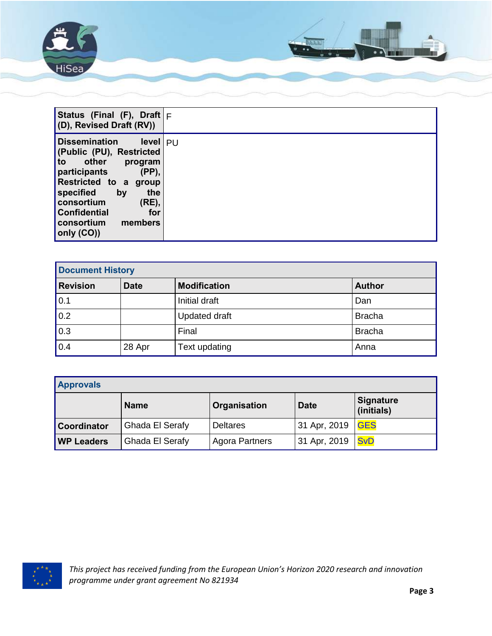

| Status (Final (F), Draft $ F $<br>(D), Revised Draft (RV))     |  |
|----------------------------------------------------------------|--|
| <b>Dissemination</b><br>level   PU<br>(Public (PU), Restricted |  |
| other<br>to<br>program<br>(PP),<br>participants                |  |
| Restricted to a<br>group                                       |  |
| specified<br>the<br>by<br>consortium<br>(RE),                  |  |
| <b>Confidential</b><br>for<br>consortium<br>members            |  |
| only (CO))                                                     |  |

| <b>Document History</b> |             |                      |               |
|-------------------------|-------------|----------------------|---------------|
| <b>Revision</b>         | <b>Date</b> | <b>Modification</b>  | <b>Author</b> |
| 0.1                     |             | Initial draft        | Dan           |
| 0.2                     |             | <b>Updated draft</b> | <b>Bracha</b> |
| 0.3                     |             | Final                | <b>Bracha</b> |
| 0.4                     | 28 Apr      | Text updating        | Anna          |

| <b>Approvals</b>   |                 |                       |              |                                |
|--------------------|-----------------|-----------------------|--------------|--------------------------------|
|                    | <b>Name</b>     | Organisation          | <b>Date</b>  | <b>Signature</b><br>(initials) |
| <b>Coordinator</b> | Ghada El Serafy | <b>Deltares</b>       | 31 Apr, 2019 | <b>GES</b>                     |
| <b>WP Leaders</b>  | Ghada El Serafy | <b>Agora Partners</b> | 31 Apr, 2019 | <b>SvD</b>                     |

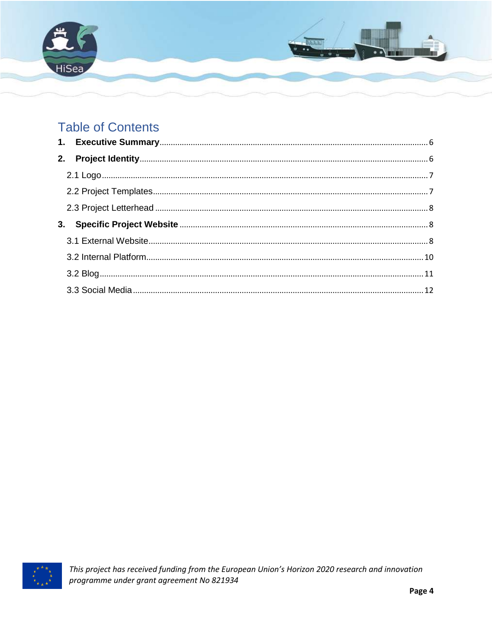

# **Table of Contents**

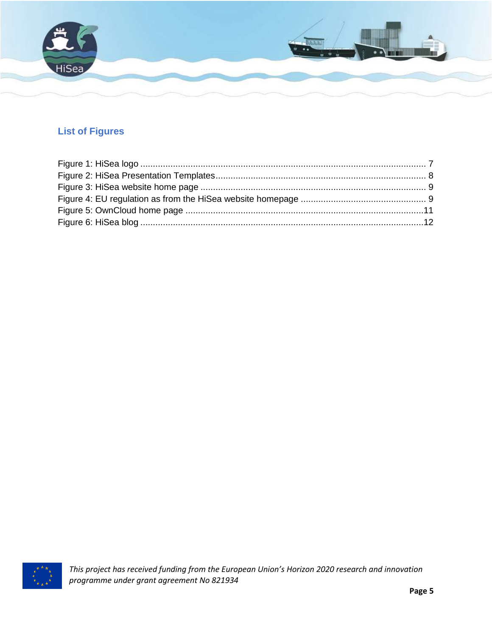

## **List of Figures**

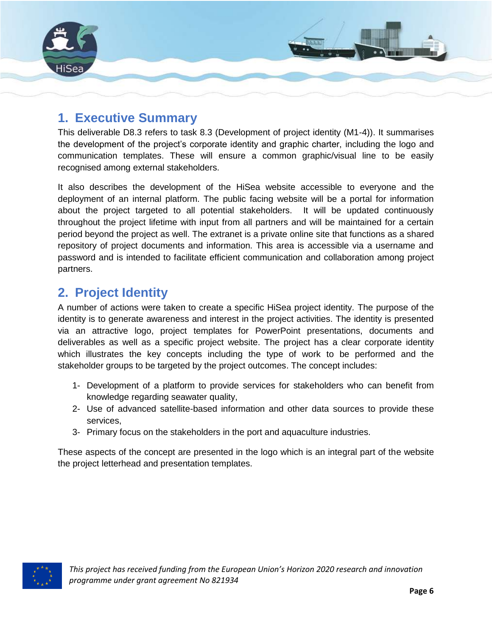

## <span id="page-5-0"></span>**1. Executive Summary**

This deliverable D8.3 refers to task 8.3 (Development of project identity (M1-4)). It summarises the development of the project's corporate identity and graphic charter, including the logo and communication templates. These will ensure a common graphic/visual line to be easily recognised among external stakeholders.

It also describes the development of the HiSea website accessible to everyone and the deployment of an internal platform. The public facing website will be a portal for information about the project targeted to all potential stakeholders. It will be updated continuously throughout the project lifetime with input from all partners and will be maintained for a certain period beyond the project as well. The extranet is a private online site that functions as a shared repository of project documents and information. This area is accessible via a username and password and is intended to facilitate efficient communication and collaboration among project partners.

## <span id="page-5-1"></span>**2. Project Identity**

A number of actions were taken to create a specific HiSea project identity. The purpose of the identity is to generate awareness and interest in the project activities. The identity is presented via an attractive logo, project templates for PowerPoint presentations, documents and deliverables as well as a specific project website. The project has a clear corporate identity which illustrates the key concepts including the type of work to be performed and the stakeholder groups to be targeted by the project outcomes. The concept includes:

- 1- Development of a platform to provide services for stakeholders who can benefit from knowledge regarding seawater quality,
- 2- Use of advanced satellite-based information and other data sources to provide these services,
- 3- Primary focus on the stakeholders in the port and aquaculture industries.

These aspects of the concept are presented in the logo which is an integral part of the website the project letterhead and presentation templates.

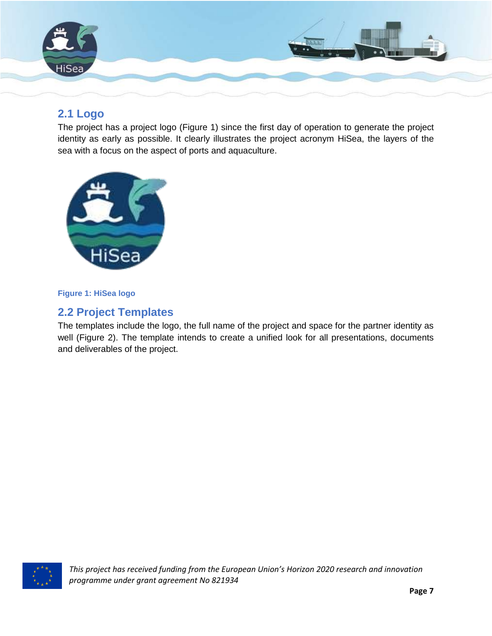

#### <span id="page-6-0"></span>**2.1 Logo**

The project has a project logo [\(Figure 1\)](#page-6-2) since the first day of operation to generate the project identity as early as possible. It clearly illustrates the project acronym HiSea, the layers of the sea with a focus on the aspect of ports and aquaculture.



#### <span id="page-6-2"></span>**Figure 1: HiSea logo**

### <span id="page-6-1"></span>**2.2 Project Templates**

The templates include the logo, the full name of the project and space for the partner identity as well [\(Figure 2\)](#page-7-3). The template intends to create a unified look for all presentations, documents and deliverables of the project.

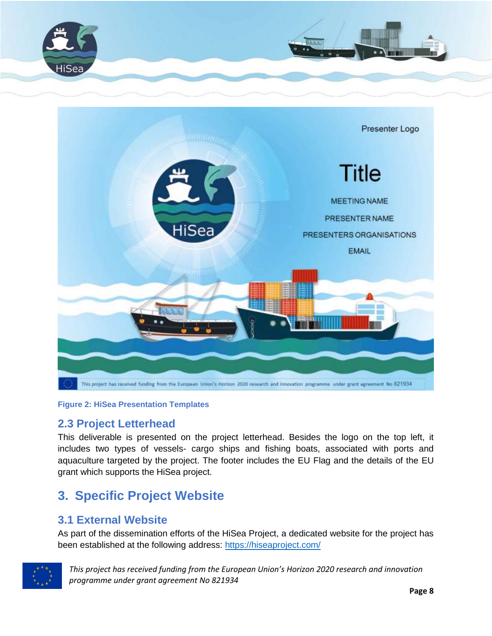



**Figure 2: HiSea Presentation Templates**

## <span id="page-7-3"></span><span id="page-7-0"></span>**2.3 Project Letterhead**

This deliverable is presented on the project letterhead. Besides the logo on the top left, it includes two types of vessels- cargo ships and fishing boats, associated with ports and aquaculture targeted by the project. The footer includes the EU Flag and the details of the EU grant which supports the HiSea project.

# <span id="page-7-1"></span>**3. Specific Project Website**

#### <span id="page-7-2"></span>**3.1 External Website**

As part of the dissemination efforts of the HiSea Project, a dedicated website for the project has been established at the following address:<https://hiseaproject.com/>

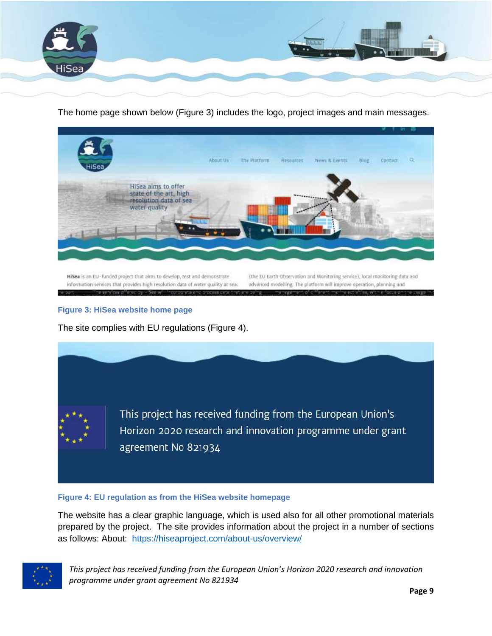

The home page shown below (Figure 3) includes the logo, project images and main messages.



HiSea is an EU-funded project that aims to develop, test and demonstrate information services that provides high resolution data of water quality at sea. (the EU Earth Observation and Monitoring service), local monitoring data and advanced modelling. The platform will improve operation, planning and

#### <span id="page-8-0"></span>**Figure 3: HiSea website home page**

The site complies with EU regulations [\(Figure 4\)](#page-8-1).



#### <span id="page-8-1"></span>**Figure 4: EU regulation as from the HiSea website homepage**

The website has a clear graphic language, which is used also for all other promotional materials prepared by the project. The site provides information about the project in a number of sections as follows: About: <https://hiseaproject.com/about-us/overview/>

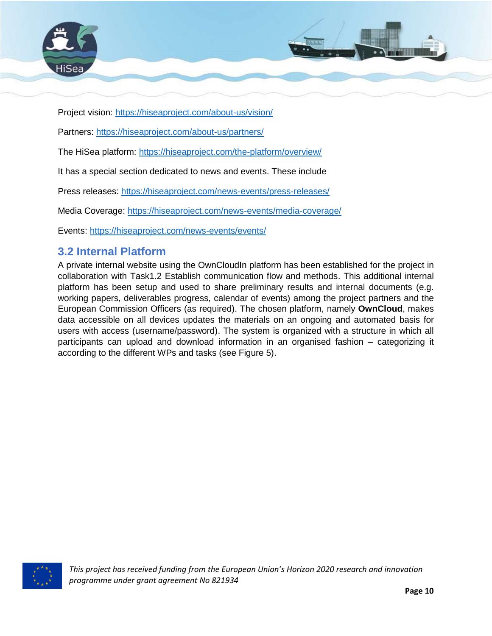



Project vision:<https://hiseaproject.com/about-us/vision/>

Partners:<https://hiseaproject.com/about-us/partners/>

The HiSea platform:<https://hiseaproject.com/the-platform/overview/>

It has a special section dedicated to news and events. These include

Press releases:<https://hiseaproject.com/news-events/press-releases/>

Media Coverage:<https://hiseaproject.com/news-events/media-coverage/>

Events:<https://hiseaproject.com/news-events/events/>

#### <span id="page-9-0"></span>**3.2 Internal Platform**

A private internal website using the OwnCloudIn platform has been established for the project in collaboration with Task1.2 Establish communication flow and methods. This additional internal platform has been setup and used to share preliminary results and internal documents (e.g. working papers, deliverables progress, calendar of events) among the project partners and the European Commission Officers (as required). The chosen platform, namely **OwnCloud**, makes data accessible on all devices updates the materials on an ongoing and automated basis for users with access (username/password). The system is organized with a structure in which all participants can upload and download information in an organised fashion – categorizing it according to the different WPs and tasks (see [Figure 5\)](#page-10-1).

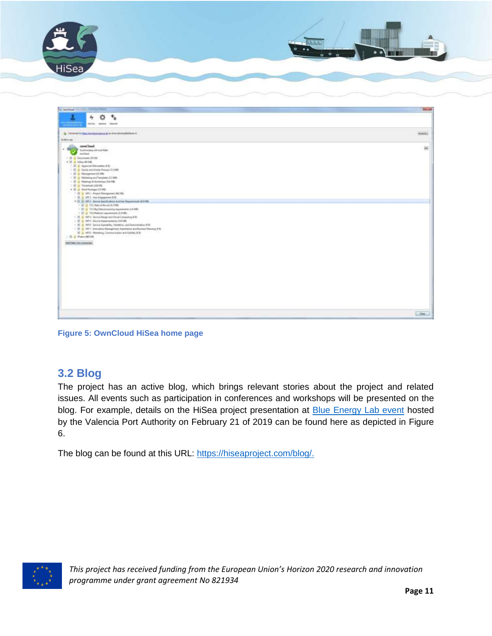

| the band and the firms of the party of                                                                                                                                                                                                                                                                                                                                                                                                                                                                                                                                                                                                                                                                                                                                                                                                                                                                                                       | \$15.93        |
|----------------------------------------------------------------------------------------------------------------------------------------------------------------------------------------------------------------------------------------------------------------------------------------------------------------------------------------------------------------------------------------------------------------------------------------------------------------------------------------------------------------------------------------------------------------------------------------------------------------------------------------------------------------------------------------------------------------------------------------------------------------------------------------------------------------------------------------------------------------------------------------------------------------------------------------------|----------------|
| ۰<br>$\hat{\mathbf{r}}_{\pm}$<br>4                                                                                                                                                                                                                                                                                                                                                                                                                                                                                                                                                                                                                                                                                                                                                                                                                                                                                                           |                |
| <b>SERI GROSS TERRIS</b>                                                                                                                                                                                                                                                                                                                                                                                                                                                                                                                                                                                                                                                                                                                                                                                                                                                                                                                     |                |
| A Termini in conclusioni access in Ave Drawdenberg                                                                                                                                                                                                                                                                                                                                                                                                                                                                                                                                                                                                                                                                                                                                                                                                                                                                                           | <b>Romeria</b> |
| <b>UNIVER</b>                                                                                                                                                                                                                                                                                                                                                                                                                                                                                                                                                                                                                                                                                                                                                                                                                                                                                                                                |                |
| meet book<br>Sunderstores with inside failure<br>social<br>> IP & December (D.Id)<br>+ IF 3 Hours (40 MB)<br>1 E. & Approval Deliverative (E.B.)<br>1. 20 at Annis seiz Siede Hetune (1.1148).<br>$\  \cdot \ _2^2 \  \leq$ Macagamuco (th MR)<br>11. IEEE Marketing and Testables (2.) MBI<br>11 III  Maximus 31 Statement 114 1980<br>1. III. at Telephony (1821)1<br># III a Verd-Federan (1736)<br>1   W & 1991 - Inspect Management (RETA)<br>1 III is NY J - that Depresent D R:<br>17 St 18 11 L Senial Sectionists and the Response ALERED<br>1 U A TSI Macchine at (LTM)<br>$\pm$ 10 $\pm$ 10.3 Eq.(not provided by replease on C.2 MD).<br>1 U. J. TSJ Putters represented DVML<br>1 IR J. MR 4 - Senior Decays and Doug Company (ETE)<br>1 III. L. 1071 - Levisa Asphensistics (28108).<br>1 IE 3 1971 - Sevice Garoletty, Vanance, and Democratics; IF R<br>1 UL & MTT, downstree Management, Easterland and Burmes Flemma II B. | ៜ              |
| IS 2 MRE-Material Convincions and Nobils of Br<br>A service of the party in the first of<br>1 元 3 Patts (811)<br>addition (i.e. Lansing)                                                                                                                                                                                                                                                                                                                                                                                                                                                                                                                                                                                                                                                                                                                                                                                                     |                |
|                                                                                                                                                                                                                                                                                                                                                                                                                                                                                                                                                                                                                                                                                                                                                                                                                                                                                                                                              | 1.84.1         |

<span id="page-10-1"></span>**Figure 5: OwnCloud HiSea home page**

## <span id="page-10-0"></span>**3.2 Blog**

The project has an active blog, which brings relevant stories about the project and related issues. All events such as participation in conferences and workshops will be presented on the blog. For example, details on the HiSea project presentation at **Blue Energy Lab event hosted** by the Valencia Port Authority on February 21 of 2019 can be found here as depicted in [Figure](#page-11-1)  [6.](#page-11-1)

The blog can be found at this URL: [https://hiseaproject.com/blog/.](https://hiseaproject.com/blog/)